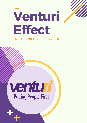THE

# **Venturi Effect**

### END-TO-END HIRING SERVICES

## venturi "Putting People First"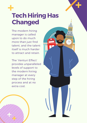

### **Tech Hiring Has Changed**

The modern hiring manager is called upon to do much more than just find talent, and the talent itself is much harder to attract and retain.

The 'Venturi Effect' provides unparalleled levels of support to the modern hiring manager at every step of the hiring process and at no extra cost.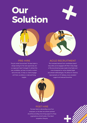## **Our Solution**



The job market has evolved. The best talent is always looking for the next opportunity, but our approach hasn't changed. To attract this new candidate, we have nurtured a contentled community. To help our clients engage with them, we deliver on-demand hiring insights.



#### PRE-HIRE AGILE RECRUITMENT

The increased demand from candidates doesn't stop when you're engaged with them. Every stage of the recruitment process needs to be faster and more transparent so we've adopted Agile recruitment methodologies. This allows for iterative improvements on CV delivery, more consistent support and reduced downtime.

#### POST HIRE

The best talent is demanding more from employers, so the best recruitment partners should be providing more hiring support to those organisations at both ends of the talent acquisition lifecycle.

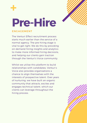

# **Pre-Hire**

#### ENGAGEMENT

The Venturi Effect recruitment process starts much earlier than the service of a normal agency. The pre-hiring stage is vital to get right. We do this by providing on-demand hiring insights and analytics to make more informed hiring decisions, and helping our clients gain traction through the Venturi's Voice community.

Whilst we utilise this platform to build relationships with candidates, Venturi's Voice also provides organisations a chance to align themselves with the interests of prospective talent. Over years of nurturing, we have built an organic community that attracts, excites and engages technical talent, which our clients can leverage throughout the hiring process.

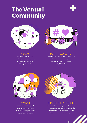### **The Venturi Community**





Interviews and thought leadership from more than 200 industry leaders in technology and staffing.

#### PODCAST BLOG/NEWSLETTER

Entertaining and educational content offering actionable insights on technical recruiting, delivered dynamically.



#### EVENTS

A buzzing slack community, AMA's, roundtable discussions and meetups. We're fully integrated into the tech community.



#### THOUGHT LEADERSHIP

Every month we're sitting down with founders to discuss their approach to leadership. The Venturi Founder's Club is attracting attention from top talent all around the world.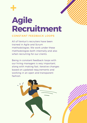

## **Agile Recruitment**

### CONSTANT FEEDBACK LOOPS

All of Venturi's recruiters have been trained in Agile and Scrum methodologies. We work under these methodologies both internally and also when recruiting for our clients.

Being in constant feedback loops with our hiring managers is very important, along with making fast, iterative changes based on updated requirements and working in an open and transparent fashion.



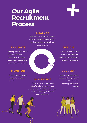### **OurAgile Recruitment Process**

#### ANALYSE

Analysis of the current tech market including competitor analysis, salary / rate benchmarking and supply and demand ratios.

### EVALUATE

Agreeing next steps for the follow up with onsite meeting, post placement reviews and agree customer success plan for future roles.

### MONITOR

Provide feedback, regular updates and progress reports.

### IMPLEMENT

Full end to end sourcing process, video/telephone interviews with suitable candidates. Secure placement with the candidate(s) before the desired start date.

### **DESIGN**

Discuss project scope and create project hiring plan and terms, service level and exclusivity agreements.

### DEVELOP

Develop resourcing strategy resourcing strategy including specific content-led marketing across various channels.

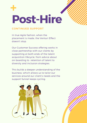

#### CONTINUED SUPPORT

In true Agile fashion, when the placement is made, the Venturi Effect doesn't stop.

Our Customer Success offering works in close partnership with our clients by supporting at both ends of the talent acquisition lifecycle, from advice about on-boarding to retention of talent to diversity and inclusion strategies.

This builds a deeper understanding of the business, which allows us to tailor our services around our client's needs and the support funnel keeps cycling.

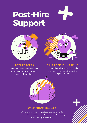# **Post-Hire Support**



We can deliver tailored candidate and market insights to jump-start a search for top technical talent.

#### INTEL REPORTS SALARY BENCHMARKING

We can deliver salary reports that will help show you where you stand in comparison with your competitors.



#### COMPETITOR ANALYSIS

We can provide insight into growth patterns, market trends, businesses that are restructuring and competitors that are gaining market share quicker than you.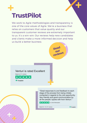

We work to Agile methodologies and transparency is one of the core values of Agile. We're a business that relies on customers that value quality and our transparent customer reviews are extremely important to us. It's a win-win. Our reviews help new candidates and clients make a more informed decision and help us build a better business.







 $\bigstar$  Trustpilot

"Great responses to and feedback to each stage of the process from being initially contacted in regards to the Job opportunity. Very friendly and good communication by all the people I spoke with from Venturi."

★ ★ ★ ★ ★ by Gobi Sittampalam



Trustpilot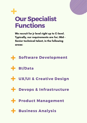

We recruit for jr level right up to C-level. Typically, our requirements are for; Mid - Senior technical talent, in the following areas:



- **BI/Data**
- **UX/UI & Creative Design**
- **Devops & Infrastructure**
- **Product Management**
- **Business Analysis**